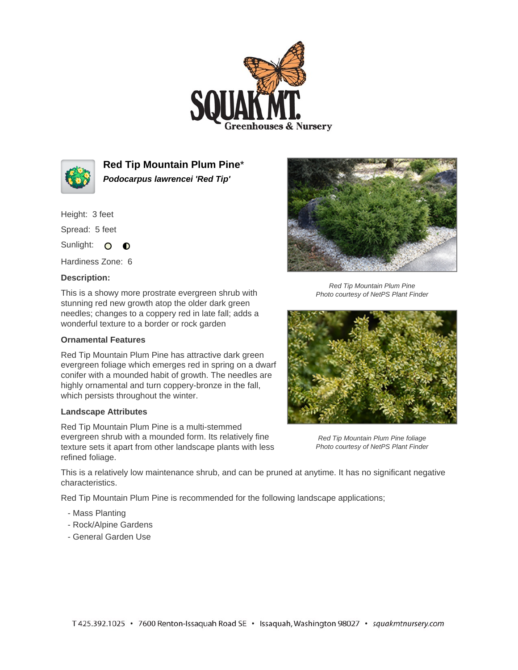



**Red Tip Mountain Plum Pine**\* **Podocarpus lawrencei 'Red Tip'**

Height: 3 feet

Spread: 5 feet

Sunlight: O **O** 

Hardiness Zone: 6

## **Description:**

This is a showy more prostrate evergreen shrub with stunning red new growth atop the older dark green needles; changes to a coppery red in late fall; adds a wonderful texture to a border or rock garden

## **Ornamental Features**

Red Tip Mountain Plum Pine has attractive dark green evergreen foliage which emerges red in spring on a dwarf conifer with a mounded habit of growth. The needles are highly ornamental and turn coppery-bronze in the fall, which persists throughout the winter.

## **Landscape Attributes**

Red Tip Mountain Plum Pine is a multi-stemmed evergreen shrub with a mounded form. Its relatively fine texture sets it apart from other landscape plants with less refined foliage.



Red Tip Mountain Plum Pine Photo courtesy of NetPS Plant Finder



Red Tip Mountain Plum Pine foliage Photo courtesy of NetPS Plant Finder

This is a relatively low maintenance shrub, and can be pruned at anytime. It has no significant negative characteristics.

Red Tip Mountain Plum Pine is recommended for the following landscape applications;

- Mass Planting
- Rock/Alpine Gardens
- General Garden Use